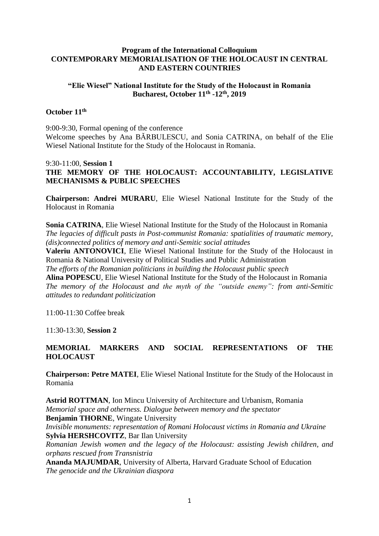## **Program of the International Colloquium CONTEMPORARY MEMORIALISATION OF THE HOLOCAUST IN CENTRAL AND EASTERN COUNTRIES**

## **"Elie Wiesel" National Institute for the Study of the Holocaust in Romania Bucharest, October 11th -12th, 2019**

## **October 11th**

9:00-9:30, Formal opening of the conference Welcome speeches by Ana BĂRBULESCU, and Sonia CATRINA, on behalf of the Elie Wiesel National Institute for the Study of the Holocaust in Romania.

9:30-11:00, **Session 1 THE MEMORY OF THE HOLOCAUST: ACCOUNTABILITY, LEGISLATIVE MECHANISMS & PUBLIC SPEECHES**

**Chairperson: Andrei MURARU**, Elie Wiesel National Institute for the Study of the Holocaust in Romania

**Sonia CATRINA**, Elie Wiesel National Institute for the Study of the Holocaust in Romania *The legacies of difficult pasts in Post-communist Romania: spatialities of traumatic memory, (dis)connected politics of memory and anti-Semitic social attitudes*

**Valeriu ANTONOVICI**, Elie Wiesel National Institute for the Study of the Holocaust in Romania & National University of Political Studies and Public Administration

*The efforts of the Romanian politicians in building the Holocaust public speech*

**Alina POPESCU**, Elie Wiesel National Institute for the Study of the Holocaust in Romania *The memory of the Holocaust and the myth of the "outside enemy": from anti-Semitic attitudes to redundant politicization*

11:00-11:30 Coffee break

11:30-13:30, **Session 2**

# **MEMORIAL MARKERS AND SOCIAL REPRESENTATIONS OF THE HOLOCAUST**

**Chairperson: Petre MATEI**, Elie Wiesel National Institute for the Study of the Holocaust in Romania

**Astrid ROTTMAN**, Ion Mincu University of Architecture and Urbanism, Romania *Memorial space and otherness. Dialogue between memory and the spectator* **Benjamin THORNE**, Wingate University *Invisible monuments: representation of Romani Holocaust victims in Romania and Ukraine*

**Sylvia HERSHCOVITZ**, Bar Ilan University

*Romanian Jewish women and the legacy of the Holocaust: assisting Jewish children, and orphans rescued from Transnistria*

**Ananda MAJUMDAR**, University of Alberta, Harvard Graduate School of Education *The genocide and the Ukrainian diaspora*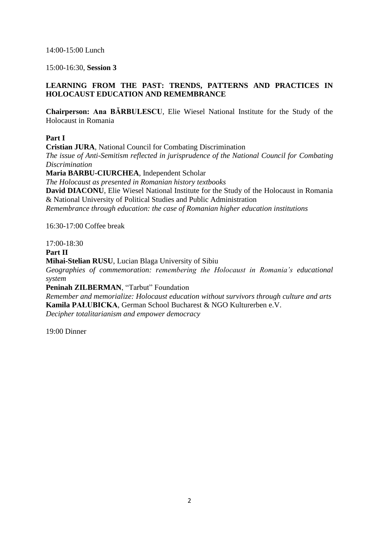14:00-15:00 Lunch

15:00-16:30, **Session 3**

# **LEARNING FROM THE PAST: TRENDS, PATTERNS AND PRACTICES IN HOLOCAUST EDUCATION AND REMEMBRANCE**

**Chairperson: Ana BĂRBULESCU**, Elie Wiesel National Institute for the Study of the Holocaust in Romania

# **Part I**

**Cristian JURA**, National Council for Combating Discrimination *The issue of Anti-Semitism reflected in jurisprudence of the National Council for Combating Discrimination* **Maria BARBU-CIURCHEA**, Independent Scholar

*The Holocaust as presented in Romanian history textbooks* **David DIACONU**, Elie Wiesel National Institute for the Study of the Holocaust in Romania & National University of Political Studies and Public Administration *Remembrance through education: the case of Romanian higher education institutions*

16:30-17:00 Coffee break

## $17:00-18:30$

**Part II**

**Mihai-Stelian RUSU**, Lucian Blaga University of Sibiu

*Geographies of commemoration: remembering the Holocaust in Romania's educational system*

**Peninah ZILBERMAN, "Tarbut" Foundation** 

*Remember and memorialize: Holocaust education without survivors through culture and arts* **Kamila PAŁUBICKA**, German School Bucharest & NGO Kulturerben e.V.

*Decipher totalitarianism and empower democracy*

19:00 Dinner